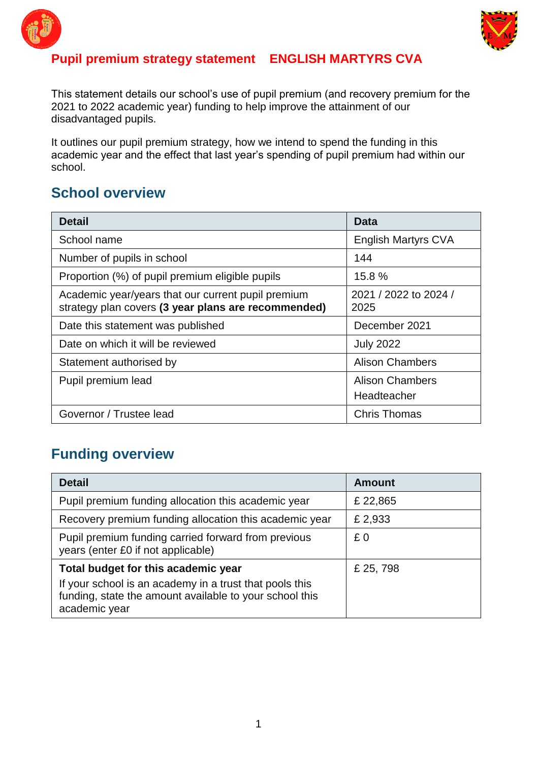



#### **Pupil premium strategy statement ENGLISH MARTYRS CVA**

This statement details our school's use of pupil premium (and recovery premium for the 2021 to 2022 academic year) funding to help improve the attainment of our disadvantaged pupils.

It outlines our pupil premium strategy, how we intend to spend the funding in this academic year and the effect that last year's spending of pupil premium had within our school.

#### **School overview**

| <b>Detail</b>                                                                                             | Data                          |
|-----------------------------------------------------------------------------------------------------------|-------------------------------|
| School name                                                                                               | <b>English Martyrs CVA</b>    |
| Number of pupils in school                                                                                | 144                           |
| Proportion (%) of pupil premium eligible pupils                                                           | 15.8%                         |
| Academic year/years that our current pupil premium<br>strategy plan covers (3 year plans are recommended) | 2021 / 2022 to 2024 /<br>2025 |
| Date this statement was published                                                                         | December 2021                 |
| Date on which it will be reviewed                                                                         | <b>July 2022</b>              |
| Statement authorised by                                                                                   | <b>Alison Chambers</b>        |
| Pupil premium lead                                                                                        | <b>Alison Chambers</b>        |
|                                                                                                           | Headteacher                   |
| Governor / Trustee lead                                                                                   | <b>Chris Thomas</b>           |

#### **Funding overview**

| <b>Detail</b>                                                                                                                                                              | <b>Amount</b> |
|----------------------------------------------------------------------------------------------------------------------------------------------------------------------------|---------------|
| Pupil premium funding allocation this academic year                                                                                                                        | £22,865       |
| Recovery premium funding allocation this academic year                                                                                                                     | £ 2,933       |
| Pupil premium funding carried forward from previous<br>years (enter £0 if not applicable)                                                                                  | £0            |
| Total budget for this academic year<br>If your school is an academy in a trust that pools this<br>funding, state the amount available to your school this<br>academic year | £ 25, 798     |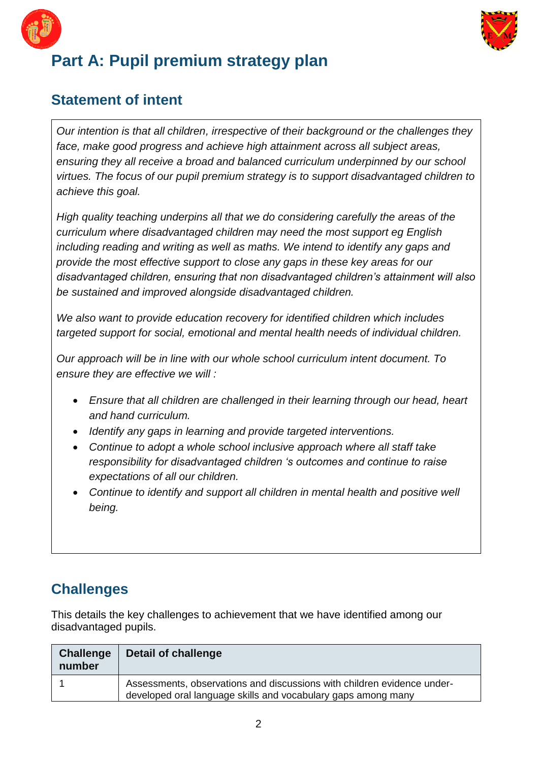



# **Part A: Pupil premium strategy plan**

#### **Statement of intent**

*Our intention is that all children, irrespective of their background or the challenges they face, make good progress and achieve high attainment across all subject areas, ensuring they all receive a broad and balanced curriculum underpinned by our school virtues. The focus of our pupil premium strategy is to support disadvantaged children to achieve this goal.* 

*High quality teaching underpins all that we do considering carefully the areas of the curriculum where disadvantaged children may need the most support eg English including reading and writing as well as maths. We intend to identify any gaps and provide the most effective support to close any gaps in these key areas for our disadvantaged children, ensuring that non disadvantaged children's attainment will also be sustained and improved alongside disadvantaged children.*

*We also want to provide education recovery for identified children which includes targeted support for social, emotional and mental health needs of individual children.*

*Our approach will be in line with our whole school curriculum intent document. To ensure they are effective we will :*

- *Ensure that all children are challenged in their learning through our head, heart and hand curriculum.*
- *Identify any gaps in learning and provide targeted interventions.*
- *Continue to adopt a whole school inclusive approach where all staff take responsibility for disadvantaged children 's outcomes and continue to raise expectations of all our children.*
- *Continue to identify and support all children in mental health and positive well being.*

### **Challenges**

This details the key challenges to achievement that we have identified among our disadvantaged pupils.

| <b>Challenge</b><br>number | Detail of challenge                                                                                                                      |
|----------------------------|------------------------------------------------------------------------------------------------------------------------------------------|
|                            | Assessments, observations and discussions with children evidence under-<br>developed oral language skills and vocabulary gaps among many |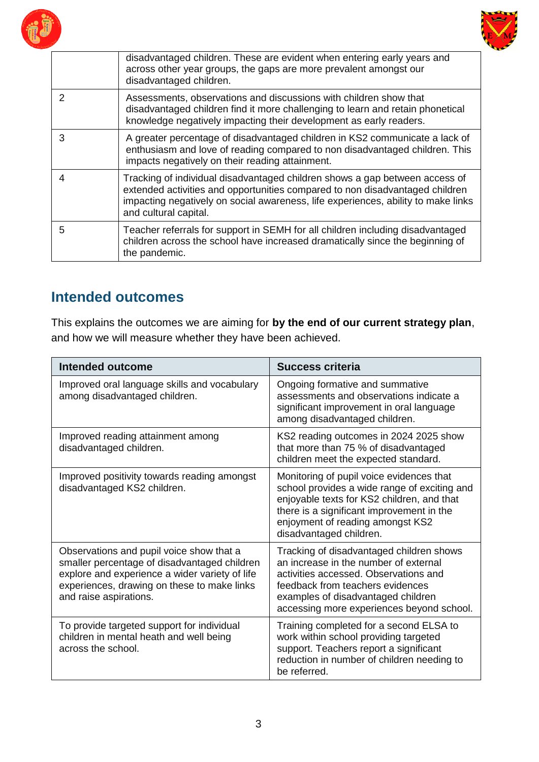



|               | disadvantaged children. These are evident when entering early years and<br>across other year groups, the gaps are more prevalent amongst our<br>disadvantaged children.                                                                                                   |
|---------------|---------------------------------------------------------------------------------------------------------------------------------------------------------------------------------------------------------------------------------------------------------------------------|
| $\mathcal{P}$ | Assessments, observations and discussions with children show that<br>disadvantaged children find it more challenging to learn and retain phonetical<br>knowledge negatively impacting their development as early readers.                                                 |
| 3             | A greater percentage of disadvantaged children in KS2 communicate a lack of<br>enthusiasm and love of reading compared to non disadvantaged children. This<br>impacts negatively on their reading attainment.                                                             |
| 4             | Tracking of individual disadvantaged children shows a gap between access of<br>extended activities and opportunities compared to non disadvantaged children<br>impacting negatively on social awareness, life experiences, ability to make links<br>and cultural capital. |
| 5             | Teacher referrals for support in SEMH for all children including disadvantaged<br>children across the school have increased dramatically since the beginning of<br>the pandemic.                                                                                          |

## **Intended outcomes**

This explains the outcomes we are aiming for **by the end of our current strategy plan**, and how we will measure whether they have been achieved.

| Intended outcome                                                                                                                                                                                                    | <b>Success criteria</b>                                                                                                                                                                                                                            |
|---------------------------------------------------------------------------------------------------------------------------------------------------------------------------------------------------------------------|----------------------------------------------------------------------------------------------------------------------------------------------------------------------------------------------------------------------------------------------------|
| Improved oral language skills and vocabulary<br>among disadvantaged children.                                                                                                                                       | Ongoing formative and summative<br>assessments and observations indicate a<br>significant improvement in oral language<br>among disadvantaged children.                                                                                            |
| Improved reading attainment among<br>disadvantaged children.                                                                                                                                                        | KS2 reading outcomes in 2024 2025 show<br>that more than 75 % of disadvantaged<br>children meet the expected standard.                                                                                                                             |
| Improved positivity towards reading amongst<br>disadvantaged KS2 children.                                                                                                                                          | Monitoring of pupil voice evidences that<br>school provides a wide range of exciting and<br>enjoyable texts for KS2 children, and that<br>there is a significant improvement in the<br>enjoyment of reading amongst KS2<br>disadvantaged children. |
| Observations and pupil voice show that a<br>smaller percentage of disadvantaged children<br>explore and experience a wider variety of life<br>experiences, drawing on these to make links<br>and raise aspirations. | Tracking of disadvantaged children shows<br>an increase in the number of external<br>activities accessed. Observations and<br>feedback from teachers evidences<br>examples of disadvantaged children<br>accessing more experiences beyond school.  |
| To provide targeted support for individual<br>children in mental heath and well being<br>across the school.                                                                                                         | Training completed for a second ELSA to<br>work within school providing targeted<br>support. Teachers report a significant<br>reduction in number of children needing to<br>be referred.                                                           |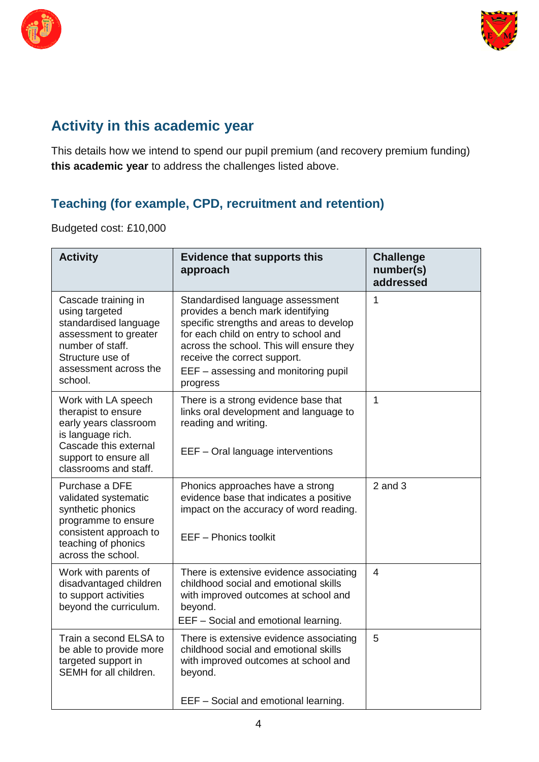



### **Activity in this academic year**

This details how we intend to spend our pupil premium (and recovery premium funding) **this academic year** to address the challenges listed above.

### **Teaching (for example, CPD, recruitment and retention)**

Budgeted cost: £10,000

| <b>Activity</b>                                                                                                                                                     | <b>Evidence that supports this</b><br>approach                                                                                                                                                                                                                                            | <b>Challenge</b><br>number(s)<br>addressed |
|---------------------------------------------------------------------------------------------------------------------------------------------------------------------|-------------------------------------------------------------------------------------------------------------------------------------------------------------------------------------------------------------------------------------------------------------------------------------------|--------------------------------------------|
| Cascade training in<br>using targeted<br>standardised language<br>assessment to greater<br>number of staff.<br>Structure use of<br>assessment across the<br>school. | Standardised language assessment<br>provides a bench mark identifying<br>specific strengths and areas to develop<br>for each child on entry to school and<br>across the school. This will ensure they<br>receive the correct support.<br>EEF - assessing and monitoring pupil<br>progress | 1                                          |
| Work with LA speech<br>therapist to ensure<br>early years classroom<br>is language rich.<br>Cascade this external<br>support to ensure all<br>classrooms and staff. | There is a strong evidence base that<br>links oral development and language to<br>reading and writing.<br>EEF - Oral language interventions                                                                                                                                               | 1                                          |
| Purchase a DFE<br>validated systematic<br>synthetic phonics<br>programme to ensure<br>consistent approach to<br>teaching of phonics<br>across the school.           | Phonics approaches have a strong<br>evidence base that indicates a positive<br>impact on the accuracy of word reading.<br>EEF - Phonics toolkit                                                                                                                                           | $2$ and $3$                                |
| Work with parents of<br>disadvantaged children<br>to support activities<br>beyond the curriculum.                                                                   | There is extensive evidence associating<br>childhood social and emotional skills<br>with improved outcomes at school and<br>beyond.<br>EEF - Social and emotional learning.                                                                                                               | $\overline{4}$                             |
| Train a second ELSA to<br>be able to provide more<br>targeted support in<br>SEMH for all children.                                                                  | There is extensive evidence associating<br>childhood social and emotional skills<br>with improved outcomes at school and<br>beyond.<br>EEF - Social and emotional learning.                                                                                                               | 5                                          |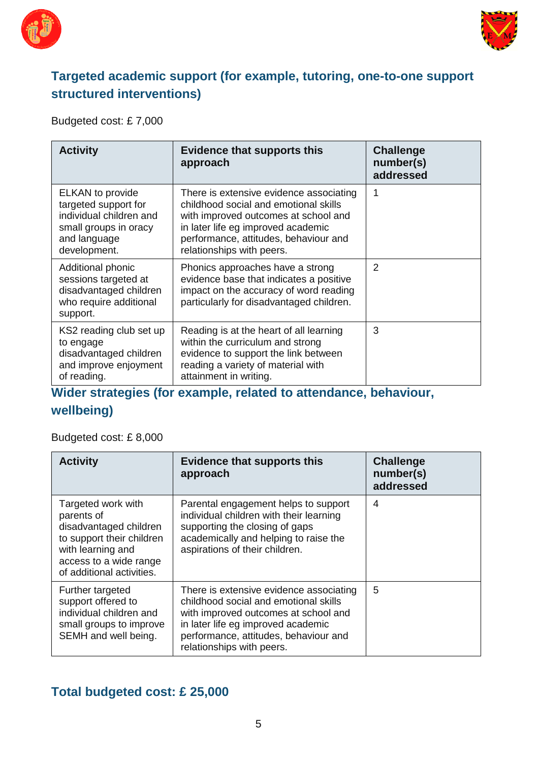



#### **Targeted academic support (for example, tutoring, one-to-one support structured interventions)**

Budgeted cost: £ 7,000

| <b>Activity</b>                                                                                                                     | <b>Evidence that supports this</b><br>approach                                                                                                                                                                                       | <b>Challenge</b><br>number(s)<br>addressed |
|-------------------------------------------------------------------------------------------------------------------------------------|--------------------------------------------------------------------------------------------------------------------------------------------------------------------------------------------------------------------------------------|--------------------------------------------|
| <b>ELKAN</b> to provide<br>targeted support for<br>individual children and<br>small groups in oracy<br>and language<br>development. | There is extensive evidence associating<br>childhood social and emotional skills<br>with improved outcomes at school and<br>in later life eg improved academic<br>performance, attitudes, behaviour and<br>relationships with peers. | 1                                          |
| Additional phonic<br>sessions targeted at<br>disadvantaged children<br>who require additional<br>support.                           | Phonics approaches have a strong<br>evidence base that indicates a positive<br>impact on the accuracy of word reading<br>particularly for disadvantaged children.                                                                    | 2                                          |
| KS2 reading club set up<br>to engage<br>disadvantaged children<br>and improve enjoyment<br>of reading.                              | Reading is at the heart of all learning<br>within the curriculum and strong<br>evidence to support the link between<br>reading a variety of material with<br>attainment in writing.                                                  | 3                                          |

**Wider strategies (for example, related to attendance, behaviour,** 

#### **wellbeing)**

Budgeted cost: £ 8,000

| <b>Activity</b>                                                                                                                                                     | <b>Evidence that supports this</b><br>approach                                                                                                                                                                                       | <b>Challenge</b><br>number(s)<br>addressed |
|---------------------------------------------------------------------------------------------------------------------------------------------------------------------|--------------------------------------------------------------------------------------------------------------------------------------------------------------------------------------------------------------------------------------|--------------------------------------------|
| Targeted work with<br>parents of<br>disadvantaged children<br>to support their children<br>with learning and<br>access to a wide range<br>of additional activities. | Parental engagement helps to support<br>individual children with their learning<br>supporting the closing of gaps<br>academically and helping to raise the<br>aspirations of their children.                                         | 4                                          |
| Further targeted<br>support offered to<br>individual children and<br>small groups to improve<br>SEMH and well being.                                                | There is extensive evidence associating<br>childhood social and emotional skills<br>with improved outcomes at school and<br>in later life eg improved academic<br>performance, attitudes, behaviour and<br>relationships with peers. | 5                                          |

#### **Total budgeted cost: £ 25,000**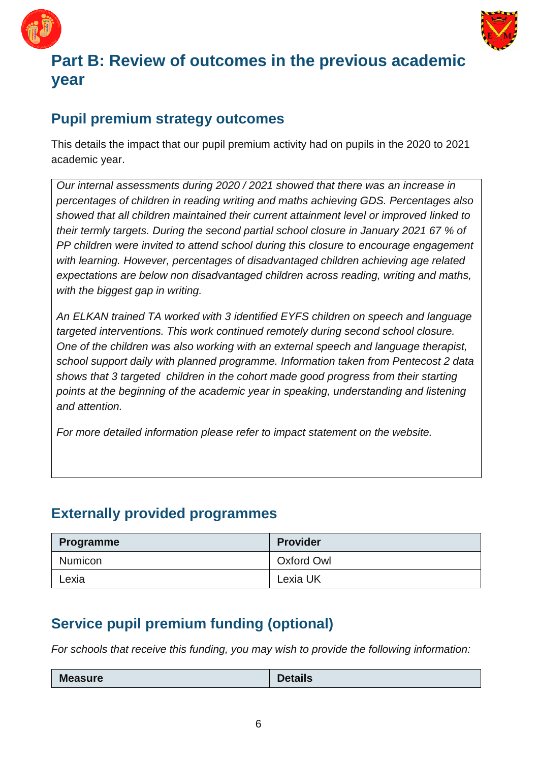



# **Part B: Review of outcomes in the previous academic year**

### **Pupil premium strategy outcomes**

This details the impact that our pupil premium activity had on pupils in the 2020 to 2021 academic year.

*Our internal assessments during 2020 / 2021 showed that there was an increase in percentages of children in reading writing and maths achieving GDS. Percentages also showed that all children maintained their current attainment level or improved linked to their termly targets. During the second partial school closure in January 2021 67 % of PP children were invited to attend school during this closure to encourage engagement with learning. However, percentages of disadvantaged children achieving age related expectations are below non disadvantaged children across reading, writing and maths, with the biggest gap in writing.*

*An ELKAN trained TA worked with 3 identified EYFS children on speech and language targeted interventions. This work continued remotely during second school closure. One of the children was also working with an external speech and language therapist, school support daily with planned programme. Information taken from Pentecost 2 data shows that 3 targeted children in the cohort made good progress from their starting*  points at the beginning of the academic year in speaking, understanding and listening *and attention.*

*For more detailed information please refer to impact statement on the website.*

#### **Externally provided programmes**

| Programme      | <b>Provider</b> |
|----------------|-----------------|
| <b>Numicon</b> | Oxford Owl      |
| Lexia          | Lexia UK        |

# **Service pupil premium funding (optional)**

*For schools that receive this funding, you may wish to provide the following information:* 

| <b>Measure</b> | <b>Details</b> |
|----------------|----------------|
|                |                |